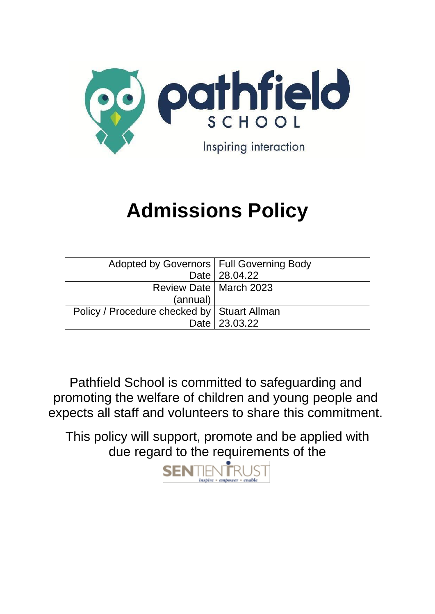

## **Admissions Policy**

| Adopted by Governors   Full Governing Body    |               |
|-----------------------------------------------|---------------|
|                                               | Date 28.04.22 |
| Review Date   March 2023                      |               |
| (annual)                                      |               |
| Policy / Procedure checked by   Stuart Allman |               |
|                                               | Date 23.03.22 |

Pathfield School is committed to safeguarding and promoting the welfare of children and young people and expects all staff and volunteers to share this commitment.

This policy will support, promote and be applied with due regard to the requirements of the